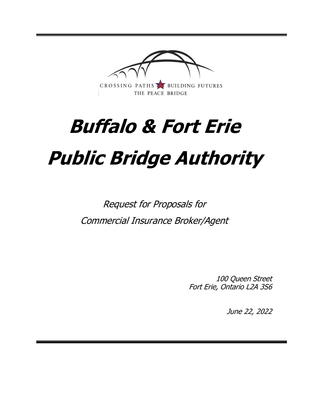

CROSSING PATHS BUILDING FUTURES THE PEACE BRIDGE

# **Buffalo & Fort Erie Public Bridge Authority**

Request for Proposals for Commercial Insurance Broker/Agent

> 100 Queen Street Fort Erie, Ontario L2A 3S6

> > June 22, 2022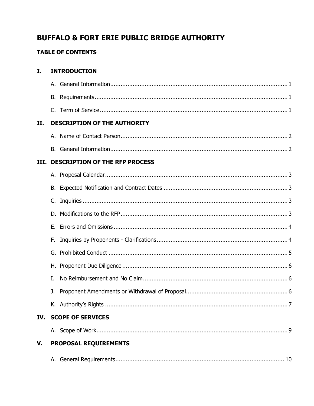# **BUFFALO & FORT ERIE PUBLIC BRIDGE AUTHORITY**

## **TABLE OF CONTENTS**

## I. INTRODUCTION

|      | $C_{\cdot}$ |                                       |
|------|-------------|---------------------------------------|
| II.  |             | <b>DESCRIPTION OF THE AUTHORITY</b>   |
|      |             |                                       |
|      |             |                                       |
| III. |             | <b>DESCRIPTION OF THE RFP PROCESS</b> |
|      |             |                                       |
|      |             |                                       |
|      | C.          |                                       |
|      | D.          |                                       |
|      | Е.          |                                       |
|      | F.          |                                       |
|      |             |                                       |
|      |             |                                       |
|      | Ι.          |                                       |
|      | J.          |                                       |
|      |             |                                       |
|      |             | IV. SCOPE OF SERVICES                 |
|      |             |                                       |
| V.   |             | PROPOSAL REQUIREMENTS                 |
|      |             |                                       |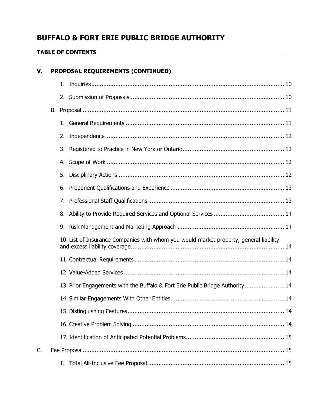# **BUFFALO & FORT ERIE PUBLIC BRIDGE AUTHORITY**

## **TABLE OF CONTENTS**

| V. | <b>PROPOSAL REQUIREMENTS (CONTINUED)</b>                                               |  |  |
|----|----------------------------------------------------------------------------------------|--|--|
|    |                                                                                        |  |  |
|    |                                                                                        |  |  |
|    |                                                                                        |  |  |
|    |                                                                                        |  |  |
|    |                                                                                        |  |  |
|    |                                                                                        |  |  |
|    |                                                                                        |  |  |
|    | 5.                                                                                     |  |  |
|    | 6.                                                                                     |  |  |
|    | 7.                                                                                     |  |  |
|    |                                                                                        |  |  |
|    |                                                                                        |  |  |
|    | 10. List of Insurance Companies with whom you would market property, general liability |  |  |
|    |                                                                                        |  |  |
|    |                                                                                        |  |  |
|    | 13. Prior Engagements with the Buffalo & Fort Erie Public Bridge Authority 14          |  |  |
|    | 14                                                                                     |  |  |
|    |                                                                                        |  |  |
|    |                                                                                        |  |  |
|    |                                                                                        |  |  |
| C. |                                                                                        |  |  |
|    |                                                                                        |  |  |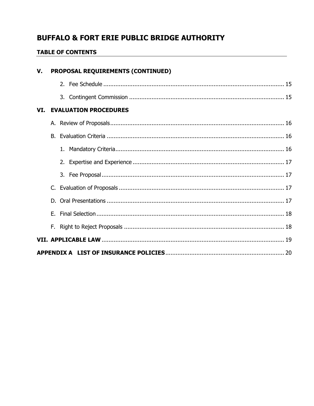## **BUFFALO & FORT ERIE PUBLIC BRIDGE AUTHORITY**

## **TABLE OF CONTENTS**

| V. | PROPOSAL REQUIREMENTS (CONTINUED) |  |
|----|-----------------------------------|--|
|    |                                   |  |
|    |                                   |  |
|    | <b>VI. EVALUATION PROCEDURES</b>  |  |
|    |                                   |  |
|    |                                   |  |
|    |                                   |  |
|    |                                   |  |
|    |                                   |  |
|    |                                   |  |
|    |                                   |  |
|    |                                   |  |
|    |                                   |  |
|    |                                   |  |
|    |                                   |  |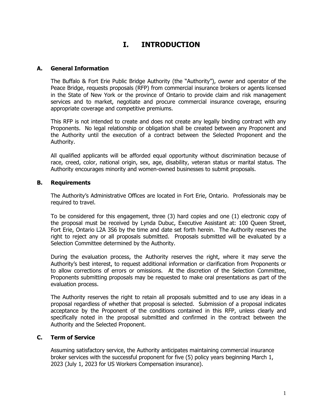# **I. INTRODUCTION**

#### **A. General Information**

The Buffalo & Fort Erie Public Bridge Authority (the "Authority"), owner and operator of the Peace Bridge, requests proposals (RFP) from commercial insurance brokers or agents licensed in the State of New York or the province of Ontario to provide claim and risk management services and to market, negotiate and procure commercial insurance coverage, ensuring appropriate coverage and competitive premiums.

This RFP is not intended to create and does not create any legally binding contract with any Proponents. No legal relationship or obligation shall be created between any Proponent and the Authority until the execution of a contract between the Selected Proponent and the Authority.

All qualified applicants will be afforded equal opportunity without discrimination because of race, creed, color, national origin, sex, age, disability, veteran status or marital status. The Authority encourages minority and women-owned businesses to submit proposals.

#### **B. Requirements**

The Authority's Administrative Offices are located in Fort Erie, Ontario. Professionals may be required to travel.

To be considered for this engagement, three (3) hard copies and one (1) electronic copy of the proposal must be received by Lynda Dubuc, Executive Assistant at: 100 Queen Street, Fort Erie, Ontario L2A 3S6 by the time and date set forth herein. The Authority reserves the right to reject any or all proposals submitted. Proposals submitted will be evaluated by a Selection Committee determined by the Authority.

During the evaluation process, the Authority reserves the right, where it may serve the Authority's best interest, to request additional information or clarification from Proponents or to allow corrections of errors or omissions. At the discretion of the Selection Committee, Proponents submitting proposals may be requested to make oral presentations as part of the evaluation process.

The Authority reserves the right to retain all proposals submitted and to use any ideas in a proposal regardless of whether that proposal is selected. Submission of a proposal indicates acceptance by the Proponent of the conditions contained in this RFP, unless clearly and specifically noted in the proposal submitted and confirmed in the contract between the Authority and the Selected Proponent.

#### **C. Term of Service**

Assuming satisfactory service, the Authority anticipates maintaining commercial insurance broker services with the successful proponent for five (5) policy years beginning March 1, 2023 (July 1, 2023 for US Workers Compensation insurance).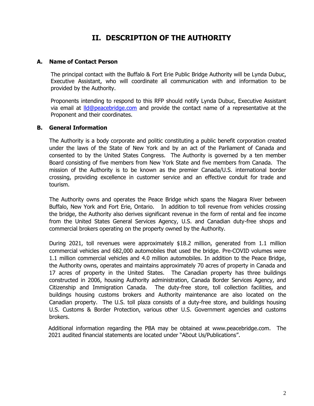# **II. DESCRIPTION OF THE AUTHORITY**

#### **A. Name of Contact Person**

The principal contact with the Buffalo & Fort Erie Public Bridge Authority will be Lynda Dubuc, Executive Assistant, who will coordinate all communication with and information to be provided by the Authority.

Proponents intending to respond to this RFP should notify Lynda Dubuc, Executive Assistant via email at lld@peacebridge.com and provide the contact name of a representative at the Proponent and their coordinates.

#### **B. General Information**

The Authority is a body corporate and politic constituting a public benefit corporation created under the laws of the State of New York and by an act of the Parliament of Canada and consented to by the United States Congress. The Authority is governed by a ten member Board consisting of five members from New York State and five members from Canada. The mission of the Authority is to be known as the premier Canada/U.S. international border crossing, providing excellence in customer service and an effective conduit for trade and tourism.

The Authority owns and operates the Peace Bridge which spans the Niagara River between Buffalo, New York and Fort Erie, Ontario. In addition to toll revenue from vehicles crossing the bridge, the Authority also derives significant revenue in the form of rental and fee income from the United States General Services Agency, U.S. and Canadian duty-free shops and commercial brokers operating on the property owned by the Authority.

During 2021, toll revenues were approximately \$18.2 million, generated from 1.1 million commercial vehicles and 682,000 automobiles that used the bridge. Pre-COVID volumes were 1.1 million commercial vehicles and 4.0 million automobiles. In addition to the Peace Bridge, the Authority owns, operates and maintains approximately 70 acres of property in Canada and 17 acres of property in the United States. The Canadian property has three buildings constructed in 2006, housing Authority administration, Canada Border Services Agency, and Citizenship and Immigration Canada. The duty-free store, toll collection facilities, and buildings housing customs brokers and Authority maintenance are also located on the Canadian property. The U.S. toll plaza consists of a duty-free store, and buildings housing U.S. Customs & Border Protection, various other U.S. Government agencies and customs brokers.

Additional information regarding the PBA may be obtained at www.peacebridge.com. The 2021 audited financial statements are located under "About Us/Publications".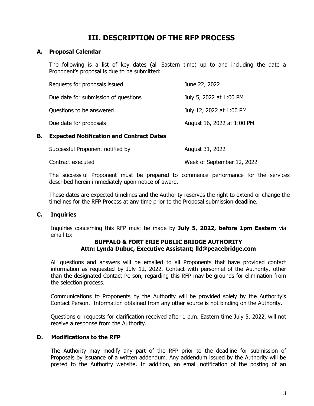## **III. DESCRIPTION OF THE RFP PROCESS**

#### **A. Proposal Calendar**

The following is a list of key dates (all Eastern time) up to and including the date a Proponent's proposal is due to be submitted:

| Requests for proposals issued        | June 22, 2022              |
|--------------------------------------|----------------------------|
| Due date for submission of questions | July 5, 2022 at 1:00 PM    |
| Questions to be answered             | July 12, 2022 at 1:00 PM   |
| Due date for proposals               | August 16, 2022 at 1:00 PM |

#### **B. Expected Notification and Contract Dates**

| Successful Proponent notified by | August 31, 2022            |
|----------------------------------|----------------------------|
| Contract executed                | Week of September 12, 2022 |

The successful Proponent must be prepared to commence performance for the services described herein immediately upon notice of award.

These dates are expected timelines and the Authority reserves the right to extend or change the timelines for the RFP Process at any time prior to the Proposal submission deadline.

#### **C. Inquiries**

Inquiries concerning this RFP must be made by **July 5, 2022, before 1pm Eastern** via email to:

#### **BUFFALO & FORT ERIE PUBLIC BRIDGE AUTHORITY Attn: Lynda Dubuc, Executive Assistant; lld@peacebridge.com**

All questions and answers will be emailed to all Proponents that have provided contact information as requested by July 12, 2022. Contact with personnel of the Authority, other than the designated Contact Person, regarding this RFP may be grounds for elimination from the selection process.

Communications to Proponents by the Authority will be provided solely by the Authority's Contact Person. Information obtained from any other source is not binding on the Authority.

Questions or requests for clarification received after 1 p.m. Eastern time July 5, 2022, will not receive a response from the Authority.

#### **D. Modifications to the RFP**

The Authority may modify any part of the RFP prior to the deadline for submission of Proposals by issuance of a written addendum. Any addendum issued by the Authority will be posted to the Authority website. In addition, an email notification of the posting of an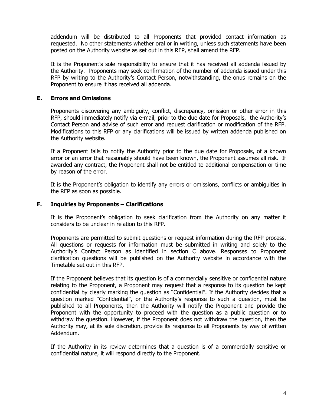addendum will be distributed to all Proponents that provided contact information as requested. No other statements whether oral or in writing, unless such statements have been posted on the Authority website as set out in this RFP, shall amend the RFP.

It is the Proponent's sole responsibility to ensure that it has received all addenda issued by the Authority. Proponents may seek confirmation of the number of addenda issued under this RFP by writing to the Authority's Contact Person, notwithstanding, the onus remains on the Proponent to ensure it has received all addenda.

#### **E. Errors and Omissions**

Proponents discovering any ambiguity, conflict, discrepancy, omission or other error in this RFP, should immediately notify via e-mail, prior to the due date for Proposals, the Authority's Contact Person and advise of such error and request clarification or modification of the RFP. Modifications to this RFP or any clarifications will be issued by written addenda published on the Authority website.

If a Proponent fails to notify the Authority prior to the due date for Proposals, of a known error or an error that reasonably should have been known, the Proponent assumes all risk. If awarded any contract, the Proponent shall not be entitled to additional compensation or time by reason of the error.

It is the Proponent's obligation to identify any errors or omissions, conflicts or ambiguities in the RFP as soon as possible.

#### **F. Inquiries by Proponents – Clarifications**

It is the Proponent's obligation to seek clarification from the Authority on any matter it considers to be unclear in relation to this RFP.

Proponents are permitted to submit questions or request information during the RFP process. All questions or requests for information must be submitted in writing and solely to the Authority's Contact Person as identified in section C above. Responses to Proponent clarification questions will be published on the Authority website in accordance with the Timetable set out in this RFP.

If the Proponent believes that its question is of a commercially sensitive or confidential nature relating to the Proponent, a Proponent may request that a response to its question be kept confidential by clearly marking the question as "Confidential". If the Authority decides that a question marked "Confidential", or the Authority's response to such a question, must be published to all Proponents, then the Authority will notify the Proponent and provide the Proponent with the opportunity to proceed with the question as a public question or to withdraw the question. However, if the Proponent does not withdraw the question, then the Authority may, at its sole discretion, provide its response to all Proponents by way of written Addendum.

If the Authority in its review determines that a question is of a commercially sensitive or confidential nature, it will respond directly to the Proponent.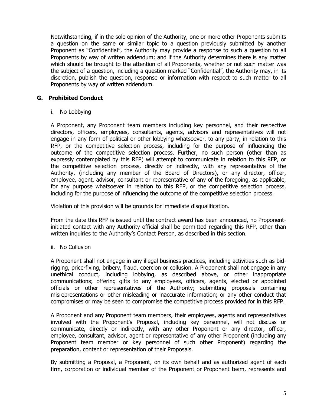Notwithstanding, if in the sole opinion of the Authority, one or more other Proponents submits a question on the same or similar topic to a question previously submitted by another Proponent as "Confidential", the Authority may provide a response to such a question to all Proponents by way of written addendum; and if the Authority determines there is any matter which should be brought to the attention of all Proponents, whether or not such matter was the subject of a question, including a question marked "Confidential", the Authority may, in its discretion, publish the question, response or information with respect to such matter to all Proponents by way of written addendum.

#### **G. Prohibited Conduct**

i. No Lobbying

A Proponent, any Proponent team members including key personnel, and their respective directors, officers, employees, consultants, agents, advisors and representatives will not engage in any form of political or other lobbying whatsoever, to any party, in relation to this RFP, or the competitive selection process, including for the purpose of influencing the outcome of the competitive selection process. Further, no such person (other than as expressly contemplated by this RFP) will attempt to communicate in relation to this RFP, or the competitive selection process, directly or indirectly, with any representative of the Authority, (including any member of the Board of Directors), or any director, officer, employee, agent, advisor, consultant or representative of any of the foregoing, as applicable, for any purpose whatsoever in relation to this RFP, or the competitive selection process, including for the purpose of influencing the outcome of the competitive selection process.

Violation of this provision will be grounds for immediate disqualification.

From the date this RFP is issued until the contract award has been announced, no Proponentinitiated contact with any Authority official shall be permitted regarding this RFP, other than written inquiries to the Authority's Contact Person, as described in this section.

ii. No Collusion

A Proponent shall not engage in any illegal business practices, including activities such as bidrigging, price-fixing, bribery, fraud, coercion or collusion. A Proponent shall not engage in any unethical conduct, including lobbying, as described above, or other inappropriate communications; offering gifts to any employees, officers, agents, elected or appointed officials or other representatives of the Authority; submitting proposals containing misrepresentations or other misleading or inaccurate information; or any other conduct that compromises or may be seen to compromise the competitive process provided for in this RFP.

A Proponent and any Proponent team members, their employees, agents and representatives involved with the Proponent's Proposal, including key personnel, will not discuss or communicate, directly or indirectly, with any other Proponent or any director, officer, employee, consultant, advisor, agent or representative of any other Proponent (including any Proponent team member or key personnel of such other Proponent) regarding the preparation, content or representation of their Proposals.

By submitting a Proposal, a Proponent, on its own behalf and as authorized agent of each firm, corporation or individual member of the Proponent or Proponent team, represents and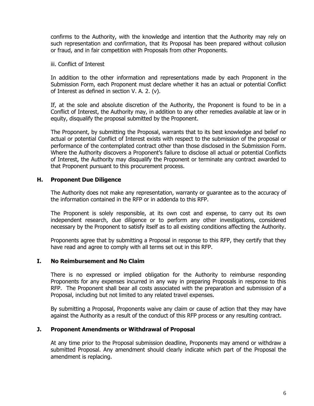confirms to the Authority, with the knowledge and intention that the Authority may rely on such representation and confirmation, that its Proposal has been prepared without collusion or fraud, and in fair competition with Proposals from other Proponents.

#### iii. Conflict of Interest

In addition to the other information and representations made by each Proponent in the Submission Form, each Proponent must declare whether it has an actual or potential Conflict of Interest as defined in section V. A. 2. (v).

If, at the sole and absolute discretion of the Authority, the Proponent is found to be in a Conflict of Interest, the Authority may, in addition to any other remedies available at law or in equity, disqualify the proposal submitted by the Proponent.

The Proponent, by submitting the Proposal, warrants that to its best knowledge and belief no actual or potential Conflict of Interest exists with respect to the submission of the proposal or performance of the contemplated contract other than those disclosed in the Submission Form. Where the Authority discovers a Proponent's failure to disclose all actual or potential Conflicts of Interest, the Authority may disqualify the Proponent or terminate any contract awarded to that Proponent pursuant to this procurement process.

#### **H. Proponent Due Diligence**

The Authority does not make any representation, warranty or guarantee as to the accuracy of the information contained in the RFP or in addenda to this RFP.

The Proponent is solely responsible, at its own cost and expense, to carry out its own independent research, due diligence or to perform any other investigations, considered necessary by the Proponent to satisfy itself as to all existing conditions affecting the Authority.

Proponents agree that by submitting a Proposal in response to this RFP, they certify that they have read and agree to comply with all terms set out in this RFP.

#### **I. No Reimbursement and No Claim**

There is no expressed or implied obligation for the Authority to reimburse responding Proponents for any expenses incurred in any way in preparing Proposals in response to this RFP. The Proponent shall bear all costs associated with the preparation and submission of a Proposal, including but not limited to any related travel expenses.

By submitting a Proposal, Proponents waive any claim or cause of action that they may have against the Authority as a result of the conduct of this RFP process or any resulting contract.

#### **J. Proponent Amendments or Withdrawal of Proposal**

At any time prior to the Proposal submission deadline, Proponents may amend or withdraw a submitted Proposal. Any amendment should clearly indicate which part of the Proposal the amendment is replacing.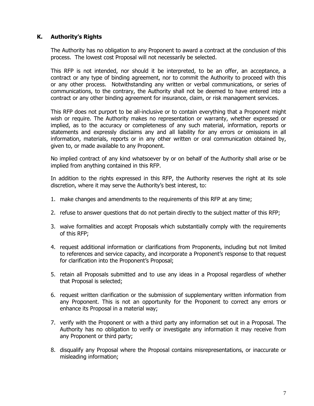### **K. Authority's Rights**

The Authority has no obligation to any Proponent to award a contract at the conclusion of this process. The lowest cost Proposal will not necessarily be selected.

This RFP is not intended, nor should it be interpreted, to be an offer, an acceptance, a contract or any type of binding agreement, nor to commit the Authority to proceed with this or any other process. Notwithstanding any written or verbal communications, or series of communications, to the contrary, the Authority shall not be deemed to have entered into a contract or any other binding agreement for insurance, claim, or risk management services.

This RFP does not purport to be all-inclusive or to contain everything that a Proponent might wish or require. The Authority makes no representation or warranty, whether expressed or implied, as to the accuracy or completeness of any such material, information, reports or statements and expressly disclaims any and all liability for any errors or omissions in all information, materials, reports or in any other written or oral communication obtained by, given to, or made available to any Proponent.

No implied contract of any kind whatsoever by or on behalf of the Authority shall arise or be implied from anything contained in this RFP.

In addition to the rights expressed in this RFP, the Authority reserves the right at its sole discretion, where it may serve the Authority's best interest, to:

- 1. make changes and amendments to the requirements of this RFP at any time;
- 2. refuse to answer questions that do not pertain directly to the subject matter of this RFP;
- 3. waive formalities and accept Proposals which substantially comply with the requirements of this RFP;
- 4. request additional information or clarifications from Proponents, including but not limited to references and service capacity, and incorporate a Proponent's response to that request for clarification into the Proponent's Proposal;
- 5. retain all Proposals submitted and to use any ideas in a Proposal regardless of whether that Proposal is selected;
- 6. request written clarification or the submission of supplementary written information from any Proponent. This is not an opportunity for the Proponent to correct any errors or enhance its Proposal in a material way;
- 7. verify with the Proponent or with a third party any information set out in a Proposal. The Authority has no obligation to verify or investigate any information it may receive from any Proponent or third party;
- 8. disqualify any Proposal where the Proposal contains misrepresentations, or inaccurate or misleading information;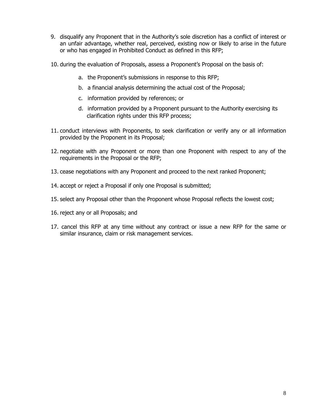- 9. disqualify any Proponent that in the Authority's sole discretion has a conflict of interest or an unfair advantage, whether real, perceived, existing now or likely to arise in the future or who has engaged in Prohibited Conduct as defined in this RFP;
- 10. during the evaluation of Proposals, assess a Proponent's Proposal on the basis of:
	- a. the Proponent's submissions in response to this RFP;
	- b. a financial analysis determining the actual cost of the Proposal;
	- c. information provided by references; or
	- d. information provided by a Proponent pursuant to the Authority exercising its clarification rights under this RFP process;
- 11. conduct interviews with Proponents, to seek clarification or verify any or all information provided by the Proponent in its Proposal;
- 12. negotiate with any Proponent or more than one Proponent with respect to any of the requirements in the Proposal or the RFP;
- 13. cease negotiations with any Proponent and proceed to the next ranked Proponent;
- 14. accept or reject a Proposal if only one Proposal is submitted;
- 15. select any Proposal other than the Proponent whose Proposal reflects the lowest cost;
- 16. reject any or all Proposals; and
- 17. cancel this RFP at any time without any contract or issue a new RFP for the same or similar insurance, claim or risk management services.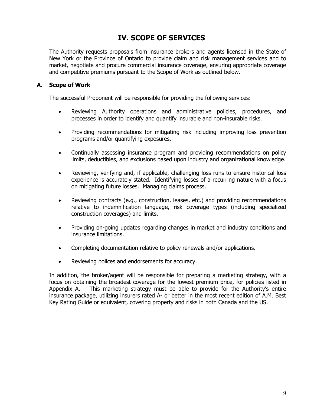## **IV. SCOPE OF SERVICES**

The Authority requests proposals from insurance brokers and agents licensed in the State of New York or the Province of Ontario to provide claim and risk management services and to market, negotiate and procure commercial insurance coverage, ensuring appropriate coverage and competitive premiums pursuant to the Scope of Work as outlined below.

#### **A. Scope of Work**

The successful Proponent will be responsible for providing the following services:

- Reviewing Authority operations and administrative policies, procedures, and processes in order to identify and quantify insurable and non-insurable risks.
- Providing recommendations for mitigating risk including improving loss prevention programs and/or quantifying exposures.
- Continually assessing insurance program and providing recommendations on policy limits, deductibles, and exclusions based upon industry and organizational knowledge.
- Reviewing, verifying and, if applicable, challenging loss runs to ensure historical loss experience is accurately stated. Identifying losses of a recurring nature with a focus on mitigating future losses. Managing claims process.
- Reviewing contracts (e.g., construction, leases, etc.) and providing recommendations relative to indemnification language, risk coverage types (including specialized construction coverages) and limits.
- Providing on-going updates regarding changes in market and industry conditions and insurance limitations.
- Completing documentation relative to policy renewals and/or applications.
- Reviewing polices and endorsements for accuracy.

In addition, the broker/agent will be responsible for preparing a marketing strategy, with a focus on obtaining the broadest coverage for the lowest premium price, for policies listed in Appendix A. This marketing strategy must be able to provide for the Authority's entire insurance package, utilizing insurers rated A- or better in the most recent edition of A.M. Best Key Rating Guide or equivalent, covering property and risks in both Canada and the US.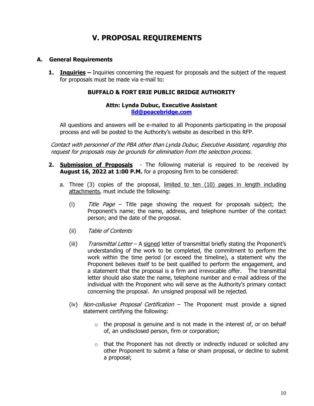# **V. PROPOSAL REQUIREMENTS**

#### **A. General Requirements**

**1. Inquiries –** Inquiries concerning the request for proposals and the subject of the request for proposals must be made via e-mail to:

#### **BUFFALO & FORT ERIE PUBLIC BRIDGE AUTHORITY**

#### **Attn: Lynda Dubuc, Executive Assistant [lld@peacebridge.com](mailto:lld@peacebridge.com)**

All questions and answers will be e-mailed to all Proponents participating in the proposal process and will be posted to the Authority's website as described in this RFP.

Contact with personnel of the PBA other than Lynda Dubuc, Executive Assistant, regarding this request for proposals may be grounds for elimination from the selection process.

- **2. Submission of Proposals** The following material is required to be received by **August 16, 2022 at 1:00 P.M.** for a proposing firm to be considered:
	- a. Three (3) copies of the proposal, limited to ten (10) pages in length including attachments, must include the following:
		- (i)  $\overline{t}$  Title Page Title page showing the request for proposals subject; the Proponent's name; the name, address, and telephone number of the contact person; and the date of the proposal.
		- (ii) Table of Contents
		- (iii) Transmittal Letter A signed letter of transmittal briefly stating the Proponent's understanding of the work to be completed, the commitment to perform the work within the time period (or exceed the timeline), a statement why the Proponent believes itself to be best qualified to perform the engagement, and a statement that the proposal is a firm and irrevocable offer. The transmittal letter should also state the name, telephone number and e-mail address of the individual with the Proponent who will serve as the Authority's primary contact concerning the proposal. An unsigned proposal will be rejected.
		- (iv) Non-collusive Proposal Certification The Proponent must provide a signed statement certifying the following:
			- $\circ$  the proposal is genuine and is not made in the interest of, or on behalf of, an undisclosed person, firm or corporation;
			- $\circ$  that the Proponent has not directly or indirectly induced or solicited any other Proponent to submit a false or sham proposal, or decline to submit a proposal;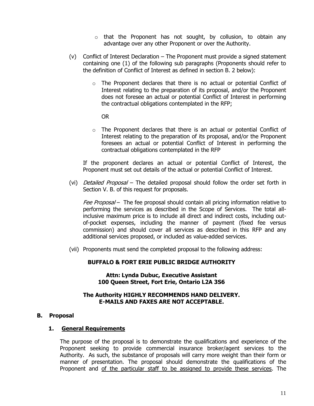- $\circ$  that the Proponent has not sought, by collusion, to obtain any advantage over any other Proponent or over the Authority.
- (v) Conflict of Interest Declaration The Proponent must provide a signed statement containing one (1) of the following sub paragraphs (Proponents should refer to the definition of Conflict of Interest as defined in section B. 2 below):
	- $\circ$  The Proponent declares that there is no actual or potential Conflict of Interest relating to the preparation of its proposal, and/or the Proponent does not foresee an actual or potential Conflict of Interest in performing the contractual obligations contemplated in the RFP;

OR

 $\circ$  The Proponent declares that there is an actual or potential Conflict of Interest relating to the preparation of its proposal, and/or the Proponent foresees an actual or potential Conflict of Interest in performing the contractual obligations contemplated in the RFP

If the proponent declares an actual or potential Conflict of Interest, the Proponent must set out details of the actual or potential Conflict of Interest.

(vi) *Detailed Proposal* – The detailed proposal should follow the order set forth in Section V. B. of this request for proposals.

Fee Proposal – The fee proposal should contain all pricing information relative to performing the services as described in the Scope of Services. The total allinclusive maximum price is to include all direct and indirect costs, including outof-pocket expenses, including the manner of payment (fixed fee versus commission) and should cover all services as described in this RFP and any additional services proposed, or included as value-added services.

(vii) Proponents must send the completed proposal to the following address:

#### **BUFFALO & FORT ERIE PUBLIC BRIDGE AUTHORITY**

**Attn: Lynda Dubuc, Executive Assistant 100 Queen Street, Fort Erie, Ontario L2A 3S6**

#### **The Authority HIGHLY RECOMMENDS HAND DELIVERY. E-MAILS AND FAXES ARE NOT ACCEPTABLE.**

#### **B. Proposal**

#### **1. General Requirements**

The purpose of the proposal is to demonstrate the qualifications and experience of the Proponent seeking to provide commercial insurance broker/agent services to the Authority. As such, the substance of proposals will carry more weight than their form or manner of presentation. The proposal should demonstrate the qualifications of the Proponent and of the particular staff to be assigned to provide these services. The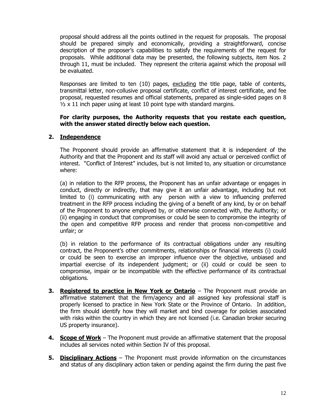proposal should address all the points outlined in the request for proposals. The proposal should be prepared simply and economically, providing a straightforward, concise description of the proposer's capabilities to satisfy the requirements of the request for proposals. While additional data may be presented, the following subjects, item Nos. 2 through 11, must be included. They represent the criteria against which the proposal will be evaluated.

Responses are limited to ten (10) pages, excluding the title page, table of contents, transmittal letter, non-collusive proposal certificate, conflict of interest certificate, and fee proposal, requested resumes and official statements, prepared as single-sided pages on 8  $\frac{1}{2}$  x 11 inch paper using at least 10 point type with standard margins.

#### **For clarity purposes, the Authority requests that you restate each question, with the answer stated directly below each question.**

#### **2. Independence**

The Proponent should provide an affirmative statement that it is independent of the Authority and that the Proponent and its staff will avoid any actual or perceived conflict of interest. "Conflict of Interest" includes, but is not limited to, any situation or circumstance where:

(a) in relation to the RFP process, the Proponent has an unfair advantage or engages in conduct, directly or indirectly, that may give it an unfair advantage, including but not limited to (i) communicating with any person with a view to influencing preferred treatment in the RFP process including the giving of a benefit of any kind, by or on behalf of the Proponent to anyone employed by, or otherwise connected with, the Authority; or (ii) engaging in conduct that compromises or could be seen to compromise the integrity of the open and competitive RFP process and render that process non-competitive and unfair; or

(b) in relation to the performance of its contractual obligations under any resulting contract, the Proponent's other commitments, relationships or financial interests (i) could or could be seen to exercise an improper influence over the objective, unbiased and impartial exercise of its independent judgment; or (ii) could or could be seen to compromise, impair or be incompatible with the effective performance of its contractual obligations.

- **3. Registered to practice in New York or Ontario** The Proponent must provide an affirmative statement that the firm/agency and all assigned key professional staff is properly licensed to practice in New York State or the Province of Ontario. In addition, the firm should identify how they will market and bind coverage for policies associated with risks within the country in which they are not licensed (i.e. Canadian broker securing US property insurance).
- **4. Scope of Work** The Proponent must provide an affirmative statement that the proposal includes all services noted within Section IV of this proposal.
- **5. Disciplinary Actions** The Proponent must provide information on the circumstances and status of any disciplinary action taken or pending against the firm during the past five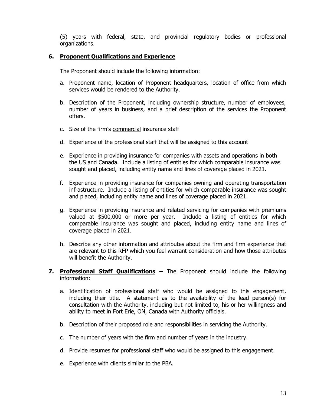(5) years with federal, state, and provincial regulatory bodies or professional organizations.

#### **6. Proponent Qualifications and Experience**

The Proponent should include the following information:

- a. Proponent name, location of Proponent headquarters, location of office from which services would be rendered to the Authority.
- b. Description of the Proponent, including ownership structure, number of employees, number of years in business, and a brief description of the services the Proponent offers.
- c. Size of the firm's commercial insurance staff
- d. Experience of the professional staff that will be assigned to this account
- e. Experience in providing insurance for companies with assets and operations in both the US and Canada. Include a listing of entities for which comparable insurance was sought and placed, including entity name and lines of coverage placed in 2021.
- f. Experience in providing insurance for companies owning and operating transportation infrastructure. Include a listing of entities for which comparable insurance was sought and placed, including entity name and lines of coverage placed in 2021.
- g. Experience in providing insurance and related servicing for companies with premiums valued at \$500,000 or more per year. Include a listing of entities for which comparable insurance was sought and placed, including entity name and lines of coverage placed in 2021.
- h. Describe any other information and attributes about the firm and firm experience that are relevant to this RFP which you feel warrant consideration and how those attributes will benefit the Authority.
- **7. Professional Staff Qualifications –** The Proponent should include the following information:
	- a. Identification of professional staff who would be assigned to this engagement, including their title. A statement as to the availability of the lead person(s) for consultation with the Authority, including but not limited to, his or her willingness and ability to meet in Fort Erie, ON, Canada with Authority officials.
	- b. Description of their proposed role and responsibilities in servicing the Authority.
	- c. The number of years with the firm and number of years in the industry.
	- d. Provide resumes for professional staff who would be assigned to this engagement.
	- e. Experience with clients similar to the PBA.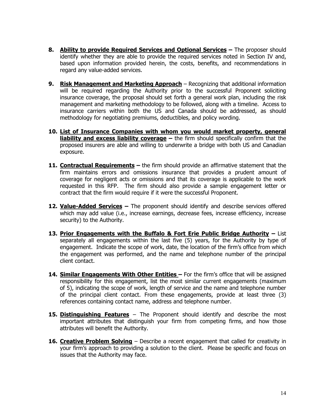- **8. Ability to provide Required Services and Optional Services –** The proposer should identify whether they are able to provide the required services noted in Section IV and, based upon information provided herein, the costs, benefits, and recommendations in regard any value-added services.
- **9. Risk Management and Marketing Approach** Recognizing that additional information will be required regarding the Authority prior to the successful Proponent soliciting insurance coverage, the proposal should set forth a general work plan, including the risk management and marketing methodology to be followed, along with a timeline. Access to insurance carriers within both the US and Canada should be addressed, as should methodology for negotiating premiums, deductibles, and policy wording.
- **10. List of Insurance Companies with whom you would market property, general liability and excess liability coverage** – the firm should specifically confirm that the proposed insurers are able and willing to underwrite a bridge with both US and Canadian exposure.
- **11. Contractual Requirements** the firm should provide an affirmative statement that the firm maintains errors and omissions insurance that provides a prudent amount of coverage for negligent acts or omissions and that its coverage is applicable to the work requested in this RFP. The firm should also provide a sample engagement letter or contract that the firm would require if it were the successful Proponent.
- **12. Value-Added Services –** The proponent should identify and describe services offered which may add value (i.e., increase earnings, decrease fees, increase efficiency, increase security) to the Authority.
- **13. Prior Engagements with the Buffalo & Fort Erie Public Bridge Authority –** List separately all engagements within the last five (5) years, for the Authority by type of engagement. Indicate the scope of work, date, the location of the firm's office from which the engagement was performed, and the name and telephone number of the principal client contact.
- **14. Similar Engagements With Other Entities –** For the firm's office that will be assigned responsibility for this engagement, list the most similar current engagements (maximum of 5), indicating the scope of work, length of service and the name and telephone number of the principal client contact. From these engagements, provide at least three (3) references containing contact name, address and telephone number.
- **15. Distinguishing Features** The Proponent should identify and describe the most important attributes that distinguish your firm from competing firms, and how those attributes will benefit the Authority.
- **16. Creative Problem Solving** Describe a recent engagement that called for creativity in your firm's approach to providing a solution to the client. Please be specific and focus on issues that the Authority may face.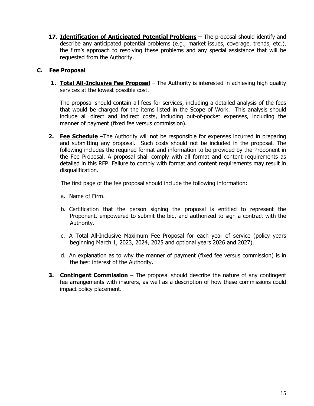**17. Identification of Anticipated Potential Problems –** The proposal should identify and describe any anticipated potential problems (e.g., market issues, coverage, trends, etc.), the firm's approach to resolving these problems and any special assistance that will be requested from the Authority.

#### **C. Fee Proposal**

**1. Total All-Inclusive Fee Proposal** – The Authority is interested in achieving high quality services at the lowest possible cost.

The proposal should contain all fees for services, including a detailed analysis of the fees that would be charged for the items listed in the Scope of Work. This analysis should include all direct and indirect costs, including out-of-pocket expenses, including the manner of payment (fixed fee versus commission).

**2. Fee Schedule** –The Authority will not be responsible for expenses incurred in preparing and submitting any proposal. Such costs should not be included in the proposal. The following includes the required format and information to be provided by the Proponent in the Fee Proposal. A proposal shall comply with all format and content requirements as detailed in this RFP. Failure to comply with format and content requirements may result in disqualification.

The first page of the fee proposal should include the following information:

- a. Name of Firm.
- b. Certification that the person signing the proposal is entitled to represent the Proponent, empowered to submit the bid, and authorized to sign a contract with the Authority.
- c. A Total All-Inclusive Maximum Fee Proposal for each year of service (policy years beginning March 1, 2023, 2024, 2025 and optional years 2026 and 2027).
- d. An explanation as to why the manner of payment (fixed fee versus commission) is in the best interest of the Authority.
- **3. Contingent Commission** The proposal should describe the nature of any contingent fee arrangements with insurers, as well as a description of how these commissions could impact policy placement.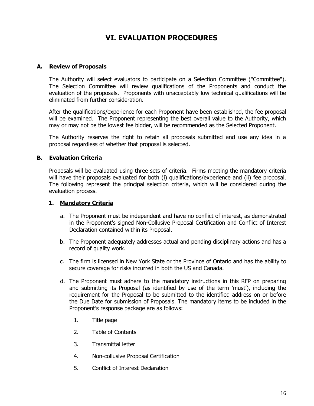# **VI. EVALUATION PROCEDURES**

#### **A. Review of Proposals**

The Authority will select evaluators to participate on a Selection Committee ("Committee"). The Selection Committee will review qualifications of the Proponents and conduct the evaluation of the proposals. Proponents with unacceptably low technical qualifications will be eliminated from further consideration.

After the qualifications/experience for each Proponent have been established, the fee proposal will be examined. The Proponent representing the best overall value to the Authority, which may or may not be the lowest fee bidder, will be recommended as the Selected Proponent.

The Authority reserves the right to retain all proposals submitted and use any idea in a proposal regardless of whether that proposal is selected.

#### **B. Evaluation Criteria**

Proposals will be evaluated using three sets of criteria. Firms meeting the mandatory criteria will have their proposals evaluated for both (i) qualifications/experience and (ii) fee proposal. The following represent the principal selection criteria, which will be considered during the evaluation process.

#### **1. Mandatory Criteria**

- a. The Proponent must be independent and have no conflict of interest, as demonstrated in the Proponent's signed Non-Collusive Proposal Certification and Conflict of Interest Declaration contained within its Proposal.
- b. The Proponent adequately addresses actual and pending disciplinary actions and has a record of quality work.
- c. The firm is licensed in New York State or the Province of Ontario and has the ability to secure coverage for risks incurred in both the US and Canada.
- d. The Proponent must adhere to the mandatory instructions in this RFP on preparing and submitting its Proposal (as identified by use of the term 'must'), including the requirement for the Proposal to be submitted to the identified address on or before the Due Date for submission of Proposals. The mandatory items to be included in the Proponent's response package are as follows:
	- 1. Title page
	- 2. Table of Contents
	- 3. Transmittal letter
	- 4. Non-collusive Proposal Certification
	- 5. Conflict of Interest Declaration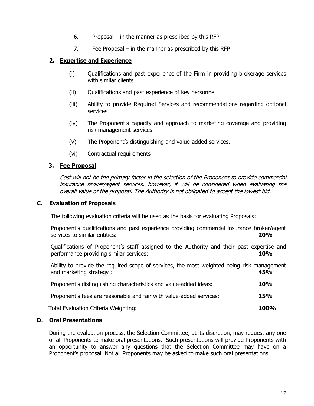- 6. Proposal in the manner as prescribed by this RFP
- 7. Fee Proposal in the manner as prescribed by this RFP

#### **2. Expertise and Experience**

- (i) Qualifications and past experience of the Firm in providing brokerage services with similar clients
- (ii) Qualifications and past experience of key personnel
- (iii) Ability to provide Required Services and recommendations regarding optional services
- (iv) The Proponent's capacity and approach to marketing coverage and providing risk management services.
- (v) The Proponent's distinguishing and value-added services.
- (vi) Contractual requirements

#### **3. Fee Proposal**

Cost will not be the primary factor in the selection of the Proponent to provide commercial insurance broker/agent services, however, it will be considered when evaluating the overall value of the proposal. The Authority is not obligated to accept the lowest bid.

#### **C. Evaluation of Proposals**

The following evaluation criteria will be used as the basis for evaluating Proposals:

Proponent's qualifications and past experience providing commercial insurance broker/agent services to similar entities: **20%** 

Qualifications of Proponent's staff assigned to the Authority and their past expertise and performance providing similar services: **10%** 

Ability to provide the required scope of services, the most weighted being risk management and marketing strategy : **45%**

| Proponent's distinguishing characteristics and value-added ideas:   | 10%         |
|---------------------------------------------------------------------|-------------|
| Proponent's fees are reasonable and fair with value-added services: | 15%         |
| Total Evaluation Criteria Weighting:                                | <b>100%</b> |

#### **D. Oral Presentations**

During the evaluation process, the Selection Committee, at its discretion, may request any one or all Proponents to make oral presentations. Such presentations will provide Proponents with an opportunity to answer any questions that the Selection Committee may have on a Proponent's proposal. Not all Proponents may be asked to make such oral presentations.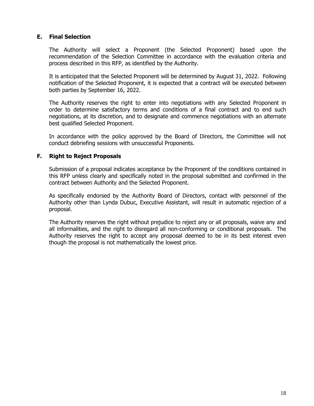#### **E. Final Selection**

The Authority will select a Proponent (the Selected Proponent) based upon the recommendation of the Selection Committee in accordance with the evaluation criteria and process described in this RFP, as identified by the Authority.

It is anticipated that the Selected Proponent will be determined by August 31, 2022. Following notification of the Selected Proponent, it is expected that a contract will be executed between both parties by September 16, 2022.

The Authority reserves the right to enter into negotiations with any Selected Proponent in order to determine satisfactory terms and conditions of a final contract and to end such negotiations, at its discretion, and to designate and commence negotiations with an alternate best qualified Selected Proponent.

In accordance with the policy approved by the Board of Directors, the Committee will not conduct debriefing sessions with unsuccessful Proponents.

#### **F. Right to Reject Proposals**

Submission of a proposal indicates acceptance by the Proponent of the conditions contained in this RFP unless clearly and specifically noted in the proposal submitted and confirmed in the contract between Authority and the Selected Proponent.

As specifically endorsed by the Authority Board of Directors, contact with personnel of the Authority other than Lynda Dubuc, Executive Assistant, will result in automatic rejection of a proposal.

The Authority reserves the right without prejudice to reject any or all proposals, waive any and all informalities, and the right to disregard all non-conforming or conditional proposals. The Authority reserves the right to accept any proposal deemed to be in its best interest even though the proposal is not mathematically the lowest price.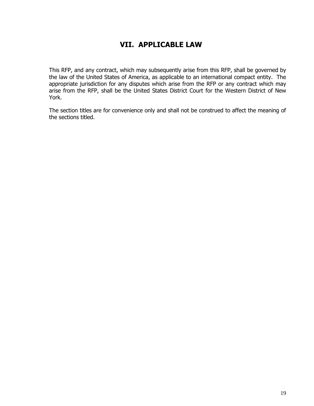## **VII. APPLICABLE LAW**

This RFP, and any contract, which may subsequently arise from this RFP, shall be governed by the law of the United States of America, as applicable to an international compact entity. The appropriate jurisdiction for any disputes which arise from the RFP or any contract which may arise from the RFP, shall be the United States District Court for the Western District of New York.

The section titles are for convenience only and shall not be construed to affect the meaning of the sections titled.